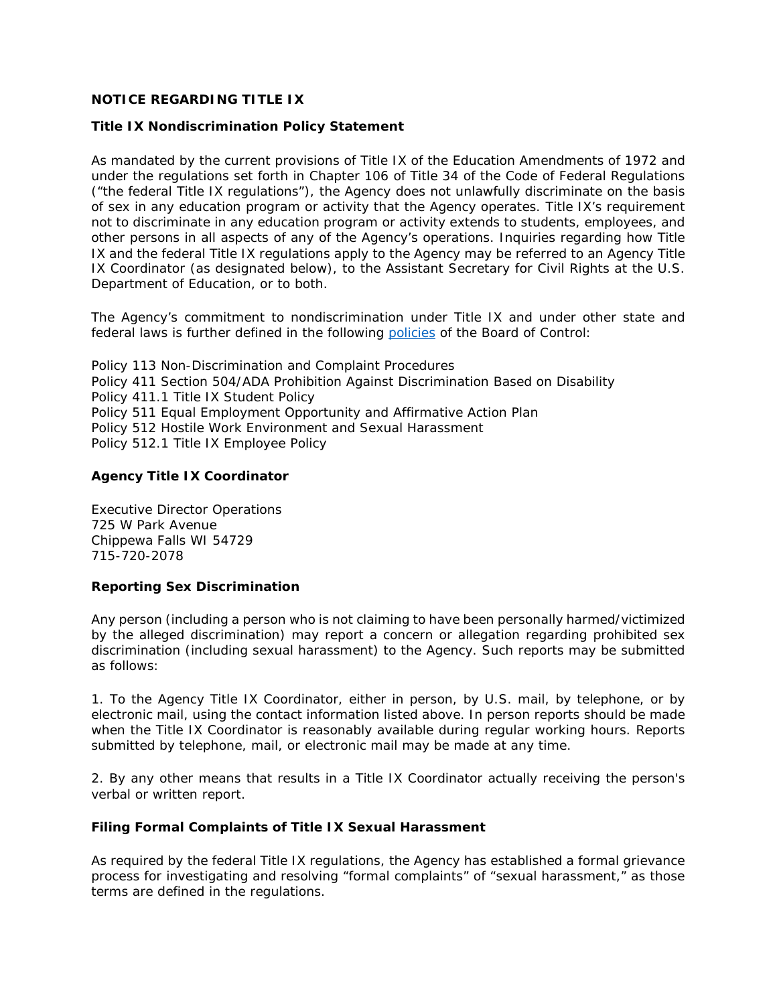## **NOTICE REGARDING TITLE IX**

#### **Title IX Nondiscrimination Policy Statement**

As mandated by the current provisions of Title IX of the Education Amendments of 1972 and under the regulations set forth in Chapter 106 of Title 34 of the Code of Federal Regulations ("the federal Title IX regulations"), the Agency does not unlawfully discriminate on the basis of sex in any education program or activity that the Agency operates. Title IX's requirement not to discriminate in any education program or activity extends to students, employees, and other persons in all aspects of any of the Agency's operations. Inquiries regarding how Title IX and the federal Title IX regulations apply to the Agency may be referred to an Agency Title IX Coordinator (as designated below), to the Assistant Secretary for Civil Rights at the U.S. Department of Education, or to both.

The Agency's commitment to nondiscrimination under Title IX and under other state and federal laws is further defined in the following [policies](https://drive.google.com/file/d/1LUNjfUqRtdnYVUPfC-WHIE-1NPNUXtuX/view?usp=sharing) of the Board of Control:

Policy 113 Non-Discrimination and Complaint Procedures Policy 411 Section 504/ADA Prohibition Against Discrimination Based on Disability Policy 411.1 Title IX Student Policy Policy 511 Equal Employment Opportunity and Affirmative Action Plan Policy 512 Hostile Work Environment and Sexual Harassment Policy 512.1 Title IX Employee Policy

### **Agency Title IX Coordinator**

Executive Director Operations 725 W Park Avenue Chippewa Falls WI 54729 715-720-2078

#### **Reporting Sex Discrimination**

Any person (including a person who is not claiming to have been personally harmed/victimized by the alleged discrimination) may report a concern or allegation regarding prohibited sex discrimination (including sexual harassment) to the Agency. Such reports may be submitted as follows:

1. To the Agency Title IX Coordinator, either in person, by U.S. mail, by telephone, or by electronic mail, using the contact information listed above. In person reports should be made when the Title IX Coordinator is reasonably available during regular working hours. Reports submitted by telephone, mail, or electronic mail may be made at any time.

2. By any other means that results in a Title IX Coordinator actually receiving the person's verbal or written report.

#### **Filing Formal Complaints of Title IX Sexual Harassment**

As required by the federal Title IX regulations, the Agency has established a formal grievance process for investigating and resolving "formal complaints" of "sexual harassment," as those terms are defined in the regulations.